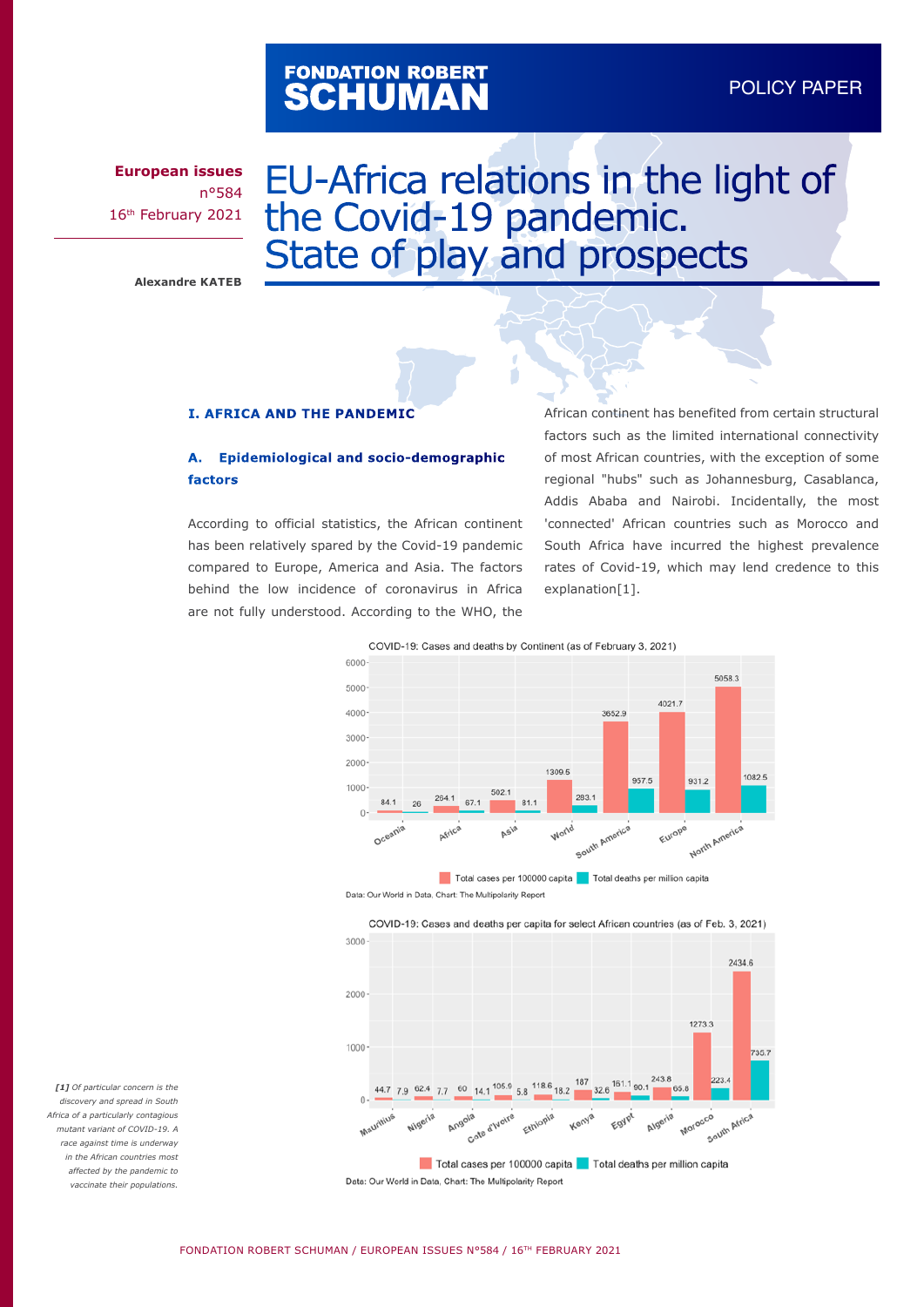# FONDATION ROBERT<br>**SCHUMAN**

**European issues** n°584 16th February 2021

# EU-Africa relations in the light of the Covid-19 pandemic. State of play and prospects

**Alexandre KATEB**

#### **I. AFRICA AND THE PANDEMIC**

# **A. Epidemiological and socio-demographic factors**

According to official statistics, the African continent has been relatively spared by the Covid-19 pandemic compared to Europe, America and Asia. The factors behind the low incidence of coronavirus in Africa are not fully understood. According to the WHO, the

African continent has benefited from certain structural factors such as the limited international connectivity of most African countries, with the exception of some regional "hubs" such as Johannesburg, Casablanca, Addis Ababa and Nairobi. Incidentally, the most 'connected' African countries such as Morocco and South Africa have incurred the highest prevalence rates of Covid-19, which may lend credence to this explanation[1].



COVID-19: Cases and deaths per capita for select African countries (as of Feb. 3, 2021)



*[1] Of particular concern is the discovery and spread in South Africa of a particularly contagious mutant variant of COVID-19. A race against time is underway in the African countries most affected by the pandemic to vaccinate their populations.*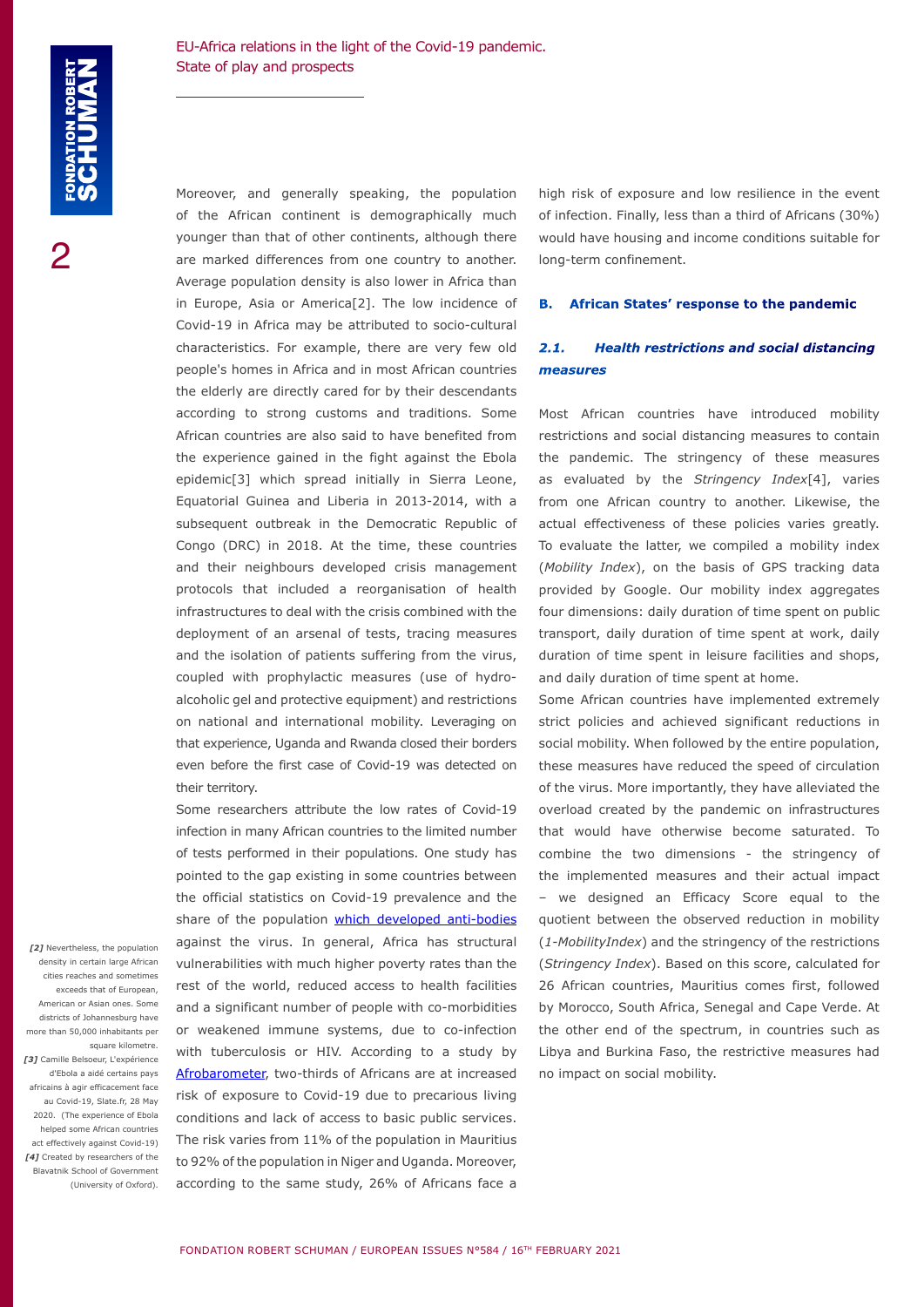Moreover, and generally speaking, the population of the African continent is demographically much younger than that of other continents, although there are marked differences from one country to another. Average population density is also lower in Africa than in Europe, Asia or America[2]. The low incidence of Covid-19 in Africa may be attributed to socio-cultural characteristics. For example, there are very few old people's homes in Africa and in most African countries the elderly are directly cared for by their descendants according to strong customs and traditions. Some African countries are also said to have benefited from the experience gained in the fight against the Ebola epidemic[3] which spread initially in Sierra Leone, Equatorial Guinea and Liberia in 2013-2014, with a subsequent outbreak in the Democratic Republic of Congo (DRC) in 2018. At the time, these countries and their neighbours developed crisis management protocols that included a reorganisation of health infrastructures to deal with the crisis combined with the deployment of an arsenal of tests, tracing measures and the isolation of patients suffering from the virus, coupled with prophylactic measures (use of hydroalcoholic gel and protective equipment) and restrictions on national and international mobility. Leveraging on that experience, Uganda and Rwanda closed their borders even before the first case of Covid-19 was detected on their territory.

Some researchers attribute the low rates of Covid-19 infection in many African countries to the limited number of tests performed in their populations. One study has pointed to the gap existing in some countries between the official statistics on Covid-19 prevalence and the share of the population [which developed anti-bodies](https://www.sciencemag.org/news/2020/08/pandemic-appears-have-spared-africa-so-far-scientists-are-struggling-explain-why) against the virus. In general, Africa has structural vulnerabilities with much higher poverty rates than the rest of the world, reduced access to health facilities and a significant number of people with co-morbidities or weakened immune systems, due to co-infection with tuberculosis or HIV. According to a study by [Afrobarometer,](http://afrobarometer.org/publications/pp67-covid-19-africa-vulnerabilities-and-assets-effective-response) two-thirds of Africans are at increased risk of exposure to Covid-19 due to precarious living conditions and lack of access to basic public services. The risk varies from 11% of the population in Mauritius to 92% of the population in Niger and Uganda. Moreover, according to the same study, 26% of Africans face a

high risk of exposure and low resilience in the event of infection. Finally, less than a third of Africans (30%) would have housing and income conditions suitable for long-term confinement.

#### **B. African States' response to the pandemic**

# *2.1. Health restrictions and social distancing measures*

Most African countries have introduced mobility restrictions and social distancing measures to contain the pandemic. The stringency of these measures as evaluated by the *Stringency Index*[4], varies from one African country to another. Likewise, the actual effectiveness of these policies varies greatly. To evaluate the latter, we compiled a mobility index (*Mobility Index*), on the basis of GPS tracking data provided by Google. Our mobility index aggregates four dimensions: daily duration of time spent on public transport, daily duration of time spent at work, daily duration of time spent in leisure facilities and shops, and daily duration of time spent at home.

Some African countries have implemented extremely strict policies and achieved significant reductions in social mobility. When followed by the entire population, these measures have reduced the speed of circulation of the virus. More importantly, they have alleviated the overload created by the pandemic on infrastructures that would have otherwise become saturated. To combine the two dimensions - the stringency of the implemented measures and their actual impact – we designed an Efficacy Score equal to the quotient between the observed reduction in mobility (*1-MobilityIndex*) and the stringency of the restrictions (*Stringency Index*). Based on this score, calculated for 26 African countries, Mauritius comes first, followed by Morocco, South Africa, Senegal and Cape Verde. At the other end of the spectrum, in countries such as Libya and Burkina Faso, the restrictive measures had no impact on social mobility.

*[2]* Nevertheless, the population density in certain large African cities reaches and sometimes exceeds that of European, American or Asian ones. Some districts of Johannesburg have more than 50,000 inhabitants per square kilometre. *[3]* Camille Belsoeur, L'expérience d'Ebola a aidé certains pays africains à agir efficacement face au Covid-19, Slate.fr, 28 May 2020. (The experience of Ebola helped some African countries act effectively against Covid-19) *[4]* Created by researchers of the Blavatnik School of Government (University of Oxford).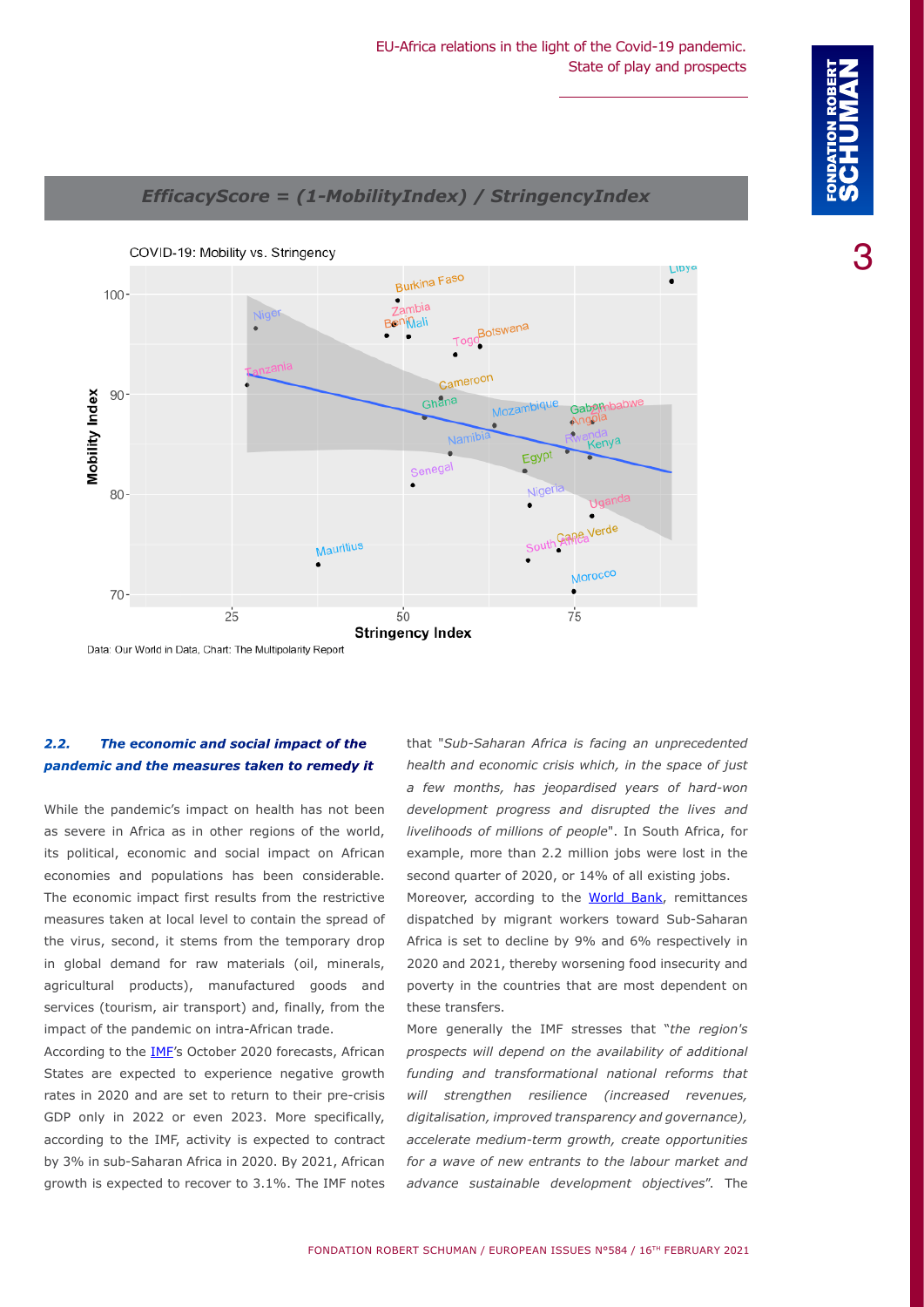

Data: Our World in Data, Chart: The Multipolarity Report

# *2.2. The economic and social impact of the pandemic and the measures taken to remedy it*

While the pandemic's impact on health has not been as severe in Africa as in other regions of the world, its political, economic and social impact on African economies and populations has been considerable. The economic impact first results from the restrictive measures taken at local level to contain the spread of the virus, second, it stems from the temporary drop in global demand for raw materials (oil, minerals, agricultural products), manufactured goods and services (tourism, air transport) and, finally, from the impact of the pandemic on intra-African trade.

According to the **IMF's October 2020 forecasts, African** States are expected to experience negative growth rates in 2020 and are set to return to their pre-crisis GDP only in 2022 or even 2023. More specifically, according to the IMF, activity is expected to contract by 3% in sub-Saharan Africa in 2020. By 2021, African growth is expected to recover to 3.1%. The IMF notes that "*Sub-Saharan Africa is facing an unprecedented health and economic crisis which, in the space of just a few months, has jeopardised years of hard-won development progress and disrupted the lives and livelihoods of millions of people*". In South Africa, for example, more than 2.2 million jobs were lost in the second quarter of 2020, or 14% of all existing jobs.

Moreover, according to the [World Bank,](https://www.knomad.org/publication/migration-and-development-brief-33) remittances dispatched by migrant workers toward Sub-Saharan Africa is set to decline by 9% and 6% respectively in 2020 and 2021, thereby worsening food insecurity and poverty in the countries that are most dependent on these transfers.

More generally the IMF stresses that "*the region's prospects will depend on the availability of additional funding and transformational national reforms that will strengthen resilience (increased revenues, digitalisation, improved transparency and governance), accelerate medium-term growth, create opportunities for a wave of new entrants to the labour market and advance sustainable development objectives*". The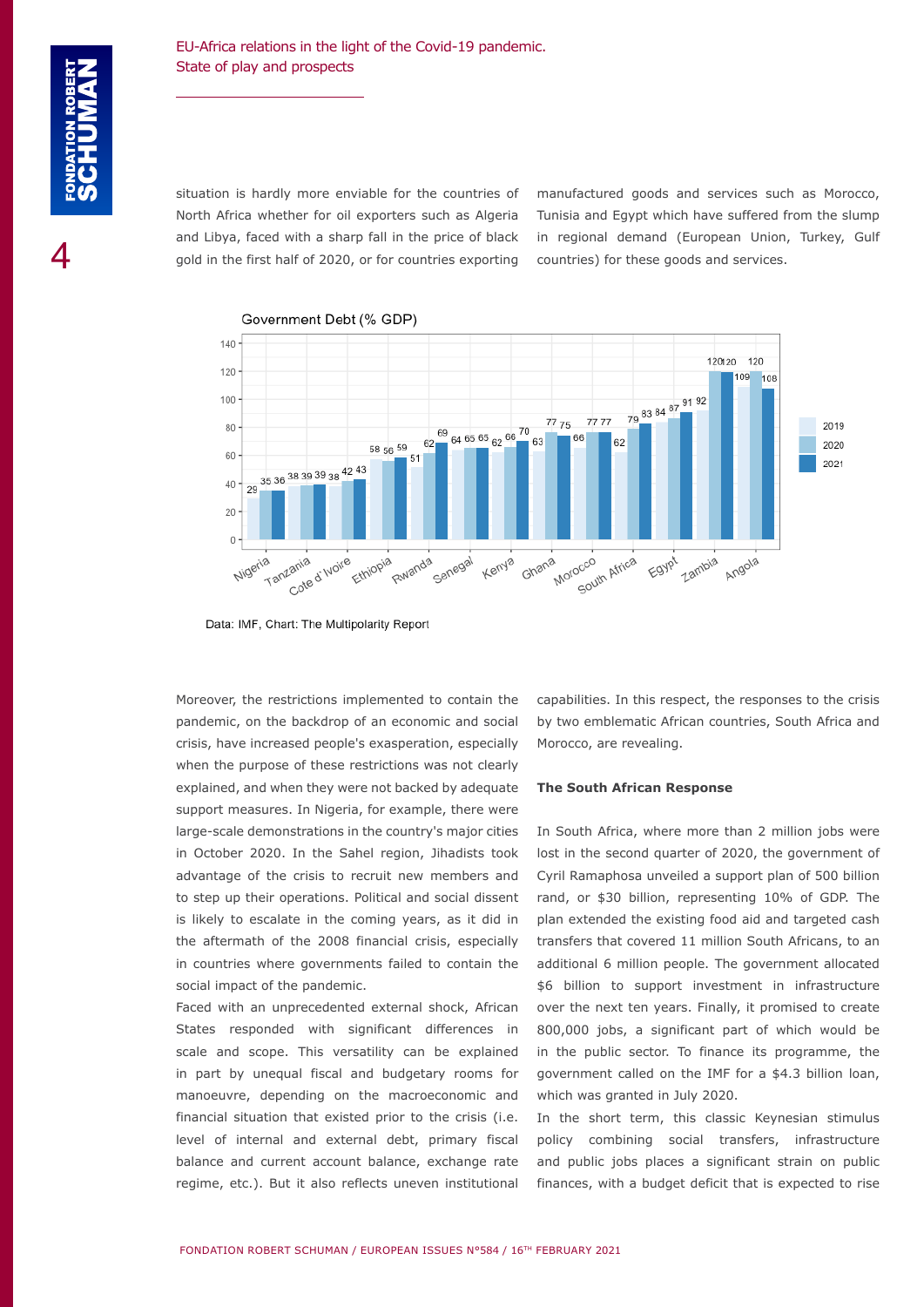situation is hardly more enviable for the countries of North Africa whether for oil exporters such as Algeria and Libya, faced with a sharp fall in the price of black gold in the first half of 2020, or for countries exporting manufactured goods and services such as Morocco, Tunisia and Egypt which have suffered from the slump in regional demand (European Union, Turkey, Gulf countries) for these goods and services.





Data: IMF, Chart: The Multipolarity Report

Moreover, the restrictions implemented to contain the pandemic, on the backdrop of an economic and social crisis, have increased people's exasperation, especially when the purpose of these restrictions was not clearly explained, and when they were not backed by adequate support measures. In Nigeria, for example, there were large-scale demonstrations in the country's major cities in October 2020. In the Sahel region, Jihadists took advantage of the crisis to recruit new members and to step up their operations. Political and social dissent is likely to escalate in the coming years, as it did in the aftermath of the 2008 financial crisis, especially in countries where governments failed to contain the social impact of the pandemic.

Faced with an unprecedented external shock, African States responded with significant differences in scale and scope. This versatility can be explained in part by unequal fiscal and budgetary rooms for manoeuvre, depending on the macroeconomic and financial situation that existed prior to the crisis (i.e. level of internal and external debt, primary fiscal balance and current account balance, exchange rate regime, etc.). But it also reflects uneven institutional capabilities. In this respect, the responses to the crisis by two emblematic African countries, South Africa and Morocco, are revealing.

#### **The South African Response**

In South Africa, where more than 2 million jobs were lost in the second quarter of 2020, the government of Cyril Ramaphosa unveiled a support plan of 500 billion rand, or \$30 billion, representing 10% of GDP. The plan extended the existing food aid and targeted cash transfers that covered 11 million South Africans, to an additional 6 million people. The government allocated \$6 billion to support investment in infrastructure over the next ten years. Finally, it promised to create 800,000 jobs, a significant part of which would be in the public sector. To finance its programme, the government called on the IMF for a \$4.3 billion loan, which was granted in July 2020.

In the short term, this classic Keynesian stimulus policy combining social transfers, infrastructure and public jobs places a significant strain on public finances, with a budget deficit that is expected to rise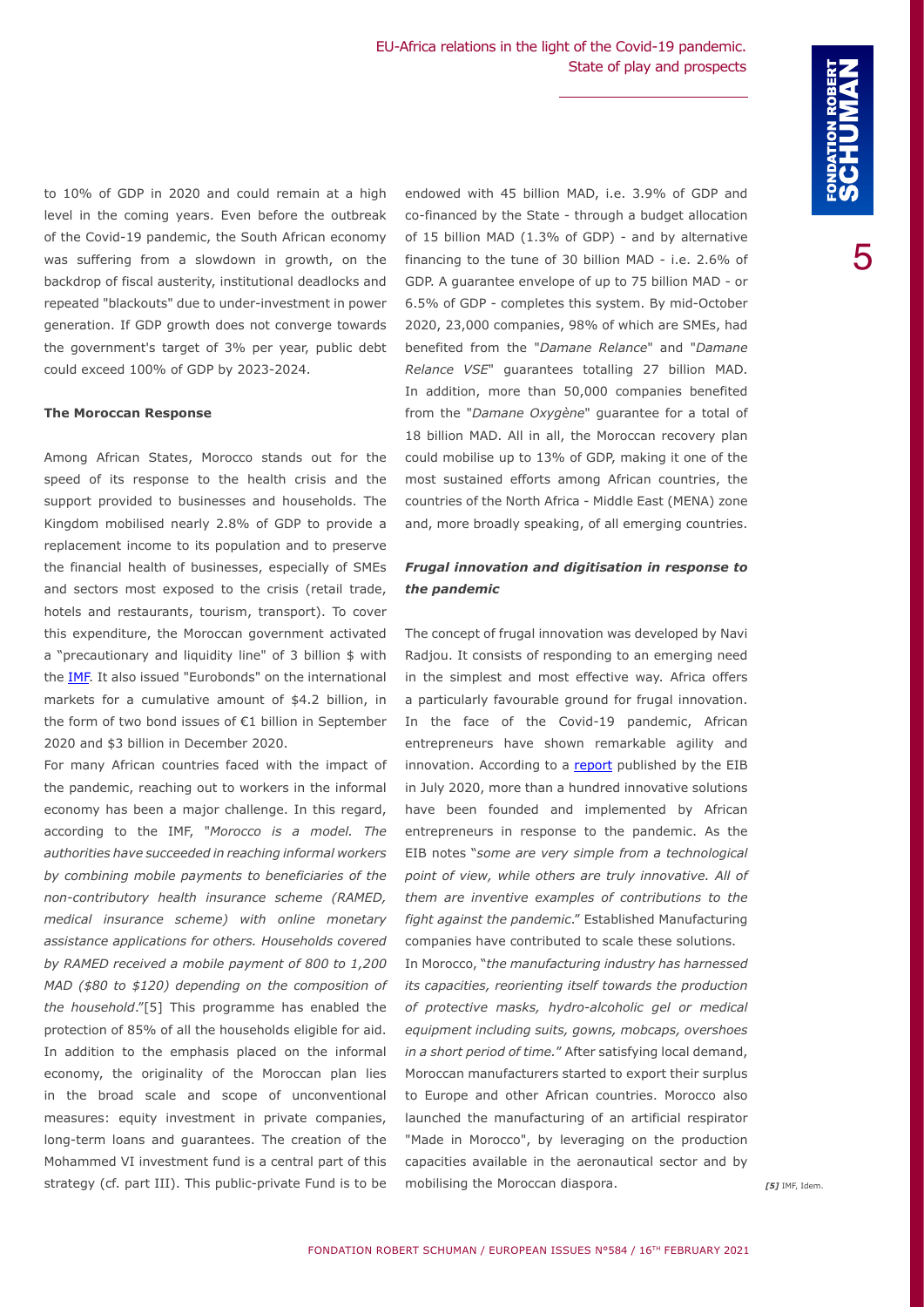to 10% of GDP in 2020 and could remain at a high level in the coming years. Even before the outbreak of the Covid-19 pandemic, the South African economy was suffering from a slowdown in growth, on the backdrop of fiscal austerity, institutional deadlocks and repeated "blackouts" due to under-investment in power generation. If GDP growth does not converge towards the government's target of 3% per year, public debt could exceed 100% of GDP by 2023-2024.

#### **The Moroccan Response**

Among African States, Morocco stands out for the speed of its response to the health crisis and the support provided to businesses and households. The Kingdom mobilised nearly 2.8% of GDP to provide a replacement income to its population and to preserve the financial health of businesses, especially of SMEs and sectors most exposed to the crisis (retail trade, hotels and restaurants, tourism, transport). To cover this expenditure, the Moroccan government activated a "precautionary and liquidity line" of 3 billion \$ with the **IMF**. It also issued "Eurobonds" on the international markets for a cumulative amount of \$4.2 billion, in the form of two bond issues of €1 billion in September 2020 and \$3 billion in December 2020.

For many African countries faced with the impact of the pandemic, reaching out to workers in the informal economy has been a major challenge. In this regard, according to the IMF, "*Morocco is a model. The authorities have succeeded in reaching informal workers by combining mobile payments to beneficiaries of the non-contributory health insurance scheme (RAMED, medical insurance scheme) with online monetary assistance applications for others. Households covered by RAMED received a mobile payment of 800 to 1,200 MAD (\$80 to \$120) depending on the composition of the household*."[5] This programme has enabled the protection of 85% of all the households eligible for aid. In addition to the emphasis placed on the informal economy, the originality of the Moroccan plan lies in the broad scale and scope of unconventional measures: equity investment in private companies, long-term loans and guarantees. The creation of the Mohammed VI investment fund is a central part of this strategy (cf. part III). This public-private Fund is to be

endowed with 45 billion MAD, i.e. 3.9% of GDP and co-financed by the State - through a budget allocation of 15 billion MAD (1.3% of GDP) - and by alternative financing to the tune of 30 billion MAD - i.e. 2.6% of GDP. A guarantee envelope of up to 75 billion MAD - or 6.5% of GDP - completes this system. By mid-October 2020, 23,000 companies, 98% of which are SMEs, had benefited from the "*Damane Relance*" and "*Damane Relance VSE*" guarantees totalling 27 billion MAD. In addition, more than 50,000 companies benefited from the "*Damane Oxygène*" guarantee for a total of 18 billion MAD. All in all, the Moroccan recovery plan could mobilise up to 13% of GDP, making it one of the most sustained efforts among African countries, the countries of the North Africa - Middle East (MENA) zone and, more broadly speaking, of all emerging countries.

# *Frugal innovation and digitisation in response to the pandemic*

The concept of frugal innovation was developed by Navi Radjou. It consists of responding to an emerging need in the simplest and most effective way. Africa offers a particularly favourable ground for frugal innovation. In the face of the Covid-19 pandemic, African entrepreneurs have shown remarkable agility and innovation. According to a [report](https://www.eib.org/en/publications/african-digital-best-practice-to-tackle-covid-19) published by the EIB in July 2020, more than a hundred innovative solutions have been founded and implemented by African entrepreneurs in response to the pandemic. As the EIB notes "*some are very simple from a technological point of view, while others are truly innovative. All of them are inventive examples of contributions to the fight against the pandemic*." Established Manufacturing companies have contributed to scale these solutions.

In Morocco, "*the manufacturing industry has harnessed its capacities, reorienting itself towards the production of protective masks, hydro-alcoholic gel or medical equipment including suits, gowns, mobcaps, overshoes in a short period of time.*" After satisfying local demand, Moroccan manufacturers started to export their surplus to Europe and other African countries. Morocco also launched the manufacturing of an artificial respirator "Made in Morocco", by leveraging on the production capacities available in the aeronautical sector and by mobilising the Moroccan diaspora. *[5]* IMF, Idem.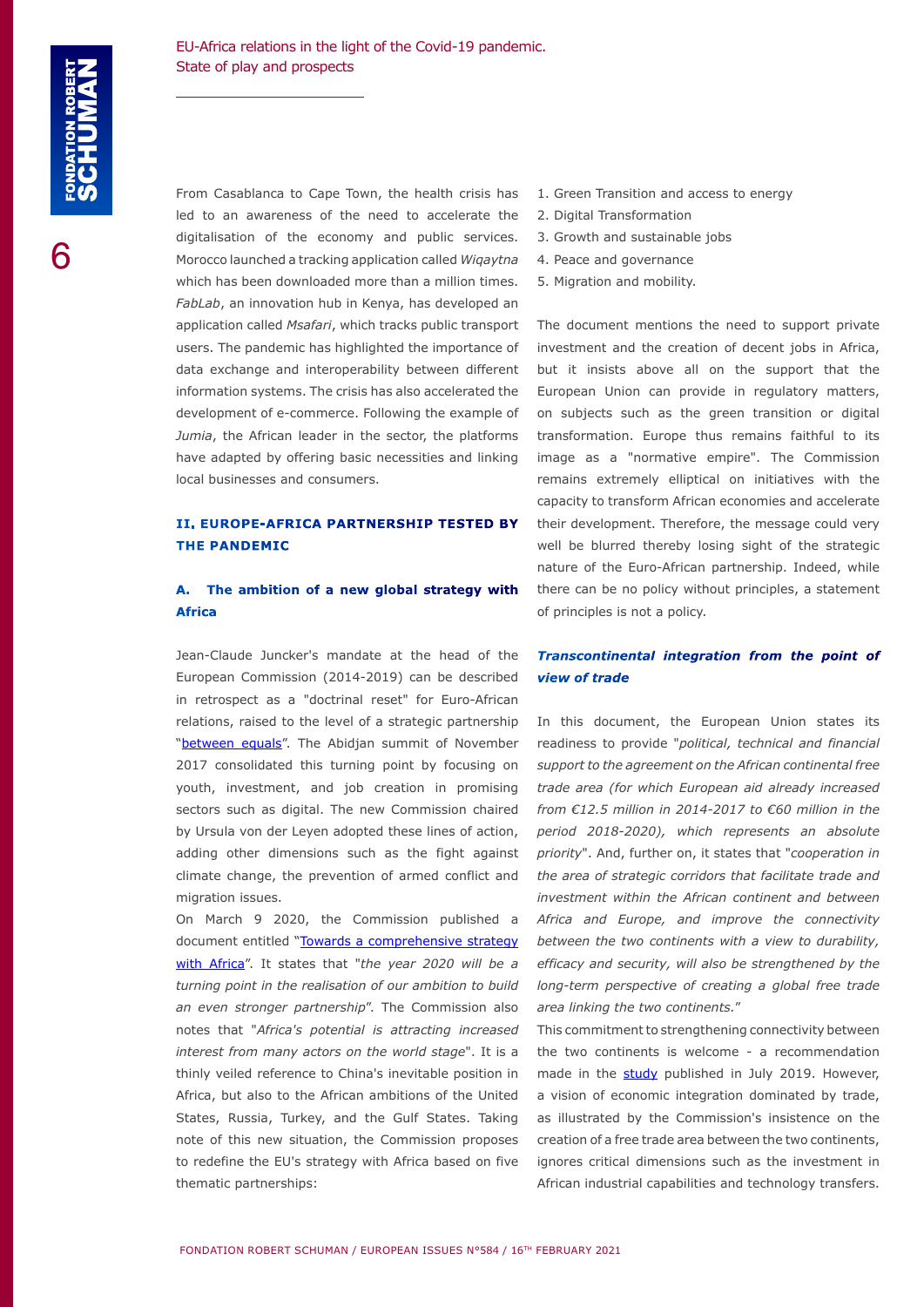From Casablanca to Cape Town, the health crisis has led to an awareness of the need to accelerate the digitalisation of the economy and public services. Morocco launched a tracking application called *Wiqaytna* which has been downloaded more than a million times. *FabLab*, an innovation hub in Kenya, has developed an application called *Msafari*, which tracks public transport users. The pandemic has highlighted the importance of data exchange and interoperability between different information systems. The crisis has also accelerated the development of e-commerce. Following the example of *Jumia*, the African leader in the sector, the platforms have adapted by offering basic necessities and linking local businesses and consumers.

# **II. EUROPE-AFRICA PARTNERSHIP TESTED BY THE PANDEMIC**

# **A. The ambition of a new global strategy with Africa**

Jean-Claude Juncker's mandate at the head of the European Commission (2014-2019) can be described in retrospect as a "doctrinal reset" for Euro-African relations, raised to the level of a strategic partnership ["between equals"](https://audiovisual.ec.europa.eu/en/video/I-143451). The Abidjan summit of November 2017 consolidated this turning point by focusing on youth, investment, and job creation in promising sectors such as digital. The new Commission chaired by Ursula von der Leyen adopted these lines of action, adding other dimensions such as the fight against climate change, the prevention of armed conflict and migration issues.

On March 9 2020, the Commission published a document entitled ["Towards a comprehensive strategy](https://eur-lex.europa.eu/legal-content/EN/TXT/PDF/?uri=CELEX:52020JC0004) [with Africa"](https://eur-lex.europa.eu/legal-content/EN/TXT/PDF/?uri=CELEX:52020JC0004). It states that "*the year 2020 will be a turning point in the realisation of our ambition to build an even stronger partnership*". The Commission also notes that "*Africa's potential is attracting increased interest from many actors on the world stage*". It is a thinly veiled reference to China's inevitable position in Africa, but also to the African ambitions of the United States, Russia, Turkey, and the Gulf States. Taking note of this new situation, the Commission proposes to redefine the EU's strategy with Africa based on five thematic partnerships:

- 1. Green Transition and access to energy
- 2. Digital Transformation
- 3. Growth and sustainable jobs
- 4. Peace and governance
- 5. Migration and mobility.

The document mentions the need to support private investment and the creation of decent jobs in Africa, but it insists above all on the support that the European Union can provide in regulatory matters, on subjects such as the green transition or digital transformation. Europe thus remains faithful to its image as a "normative empire". The Commission remains extremely elliptical on initiatives with the capacity to transform African economies and accelerate their development. Therefore, the message could very well be blurred thereby losing sight of the strategic nature of the Euro-African partnership. Indeed, while there can be no policy without principles, a statement of principles is not a policy.

# *Transcontinental integration from the point of view of trade*

In this document, the European Union states its readiness to provide "*political, technical and financial support to the agreement on the African continental free trade area (for which European aid already increased from €12.5 million in 2014-2017 to €60 million in the period 2018-2020), which represents an absolute priority*". And, further on, it states that "*cooperation in the area of strategic corridors that facilitate trade and investment within the African continent and between Africa and Europe, and improve the connectivity between the two continents with a view to durability, efficacy and security, will also be strengthened by the long-term perspective of creating a global free trade area linking the two continents.*"

This commitment to strengthening connectivity between the two continents is welcome - a recommendation made in the **study** published in July 2019. However, a vision of economic integration dominated by trade, as illustrated by the Commission's insistence on the creation of a free trade area between the two continents, ignores critical dimensions such as the investment in African industrial capabilities and technology transfers.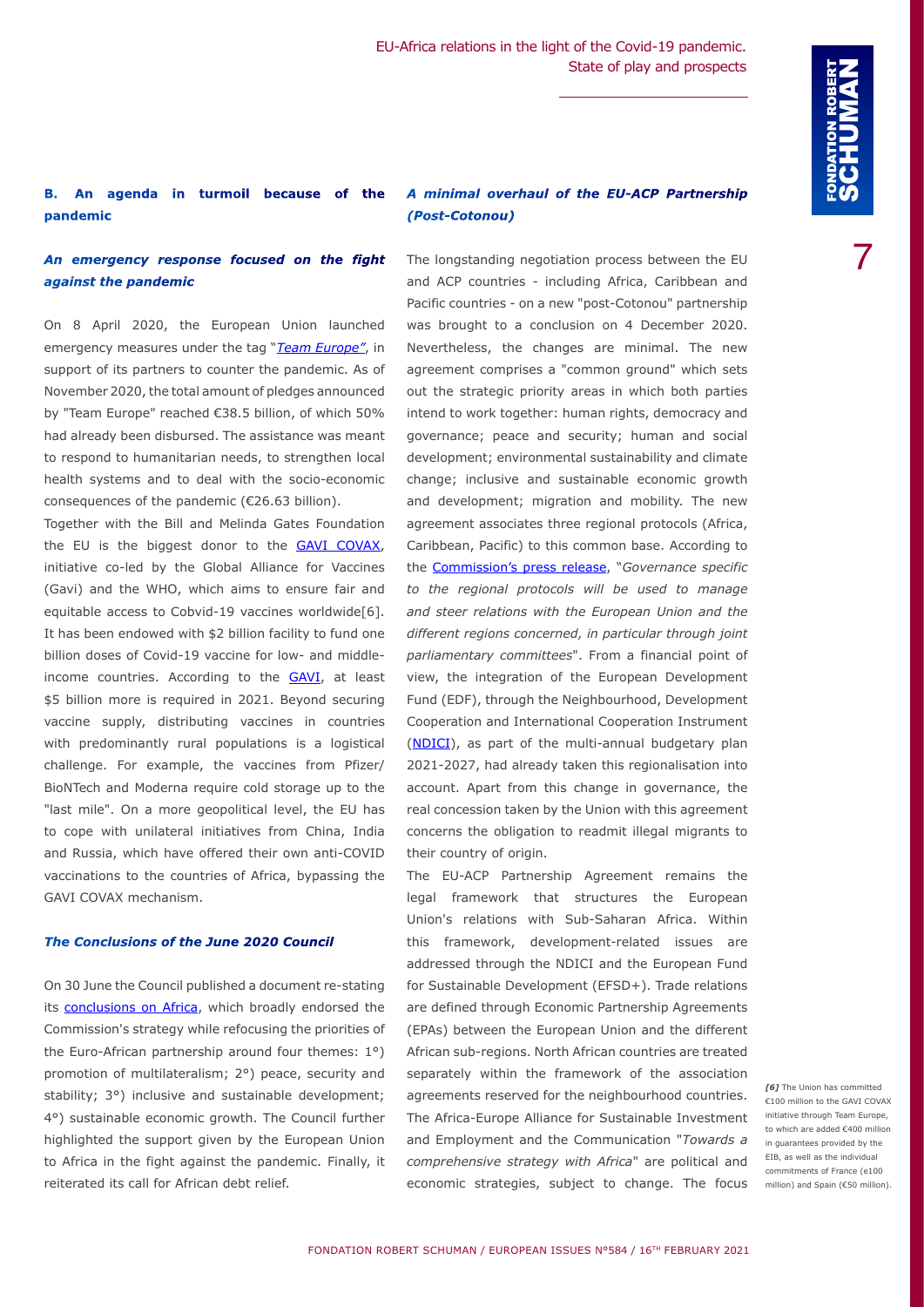# **B. An agenda in turmoil because of the pandemic**

# *An emergency response focused on the fight against the pandemic*

On 8 April 2020, the European Union launched emergency measures under the tag "*[Team Europe"](https://eur-lex.europa.eu/legal-content/EN/TXT/PDF/?uri=CELEX:52020JC0011)*, in support of its partners to counter the pandemic. As of November 2020, the total amount of pledges announced by "Team Europe" reached €38.5 billion, of which 50% had already been disbursed. The assistance was meant to respond to humanitarian needs, to strengthen local health systems and to deal with the socio-economic consequences of the pandemic (€26.63 billion).

Together with the Bill and Melinda Gates Foundation the EU is the biggest donor to the **[GAVI COVAX](https://www.who.int/initiatives/act-accelerator/covax)**, initiative co-led by the Global Alliance for Vaccines (Gavi) and the WHO, which aims to ensure fair and equitable access to Cobvid-19 vaccines worldwide[6]. It has been endowed with \$2 billion facility to fund one billion doses of Covid-19 vaccine for low- and middleincome countries. According to the **[GAVI](https://www.gavi.org/)**, at least \$5 billion more is required in 2021. Beyond securing vaccine supply, distributing vaccines in countries with predominantly rural populations is a logistical challenge. For example, the vaccines from Pfizer/ BioNTech and Moderna require cold storage up to the "last mile". On a more geopolitical level, the EU has to cope with unilateral initiatives from China, India and Russia, which have offered their own anti-COVID vaccinations to the countries of Africa, bypassing the GAVI COVAX mechanism.

#### *The Conclusions of the June 2020 Council*

On 30 June the Council published a document re-stating its [conclusions on Africa,](https://www.consilium.europa.eu/en/press/press-releases/2020/06/30/on-the-path-to-a-deeper-and-stronger-partnership-living-up-to-the-european-and-african-aspirations-council-adopts-conclusions-on-africa/) which broadly endorsed the Commission's strategy while refocusing the priorities of the Euro-African partnership around four themes: 1°) promotion of multilateralism; 2°) peace, security and stability; 3°) inclusive and sustainable development; 4°) sustainable economic growth. The Council further highlighted the support given by the European Union to Africa in the fight against the pandemic. Finally, it reiterated its call for African debt relief.

# *A minimal overhaul of the EU-ACP Partnership (Post-Cotonou)*

The longstanding negotiation process between the EU and ACP countries - including Africa, Caribbean and Pacific countries - on a new "post-Cotonou" partnership was brought to a conclusion on 4 December 2020. Nevertheless, the changes are minimal. The new agreement comprises a "common ground" which sets out the strategic priority areas in which both parties intend to work together: human rights, democracy and governance; peace and security; human and social development; environmental sustainability and climate change; inclusive and sustainable economic growth and development; migration and mobility. The new agreement associates three regional protocols (Africa, Caribbean, Pacific) to this common base. According to the [Commission's press release,](https://ec.europa.eu/commission/presscorner/detail/en/ip_20_2291) "*Governance specific to the regional protocols will be used to manage and steer relations with the European Union and the different regions concerned, in particular through joint parliamentary committees*". From a financial point of view, the integration of the European Development Fund (EDF), through the Neighbourhood, Development Cooperation and International Cooperation Instrument ([NDICI](https://ec.europa.eu/international-partnerships/system/files/factsheet-mff-multiannual-financial-framework-v09_en.pdf)), as part of the multi-annual budgetary plan 2021-2027, had already taken this regionalisation into account. Apart from this change in governance, the real concession taken by the Union with this agreement concerns the obligation to readmit illegal migrants to their country of origin.

The EU-ACP Partnership Agreement remains the legal framework that structures the European Union's relations with Sub-Saharan Africa. Within this framework, development-related issues are addressed through the NDICI and the European Fund for Sustainable Development (EFSD+). Trade relations are defined through Economic Partnership Agreements (EPAs) between the European Union and the different African sub-regions. North African countries are treated separately within the framework of the association agreements reserved for the neighbourhood countries. The Africa-Europe Alliance for Sustainable Investment and Employment and the Communication "*Towards a comprehensive strategy with Africa*" are political and economic strategies, subject to change. The focus

*[6]* The Union has committed €100 million to the GAVI COVAX initiative through Team Europe, to which are added €400 million in guarantees provided by the EIB, as well as the individual commitments of France (e100 million) and Spain (€50 million).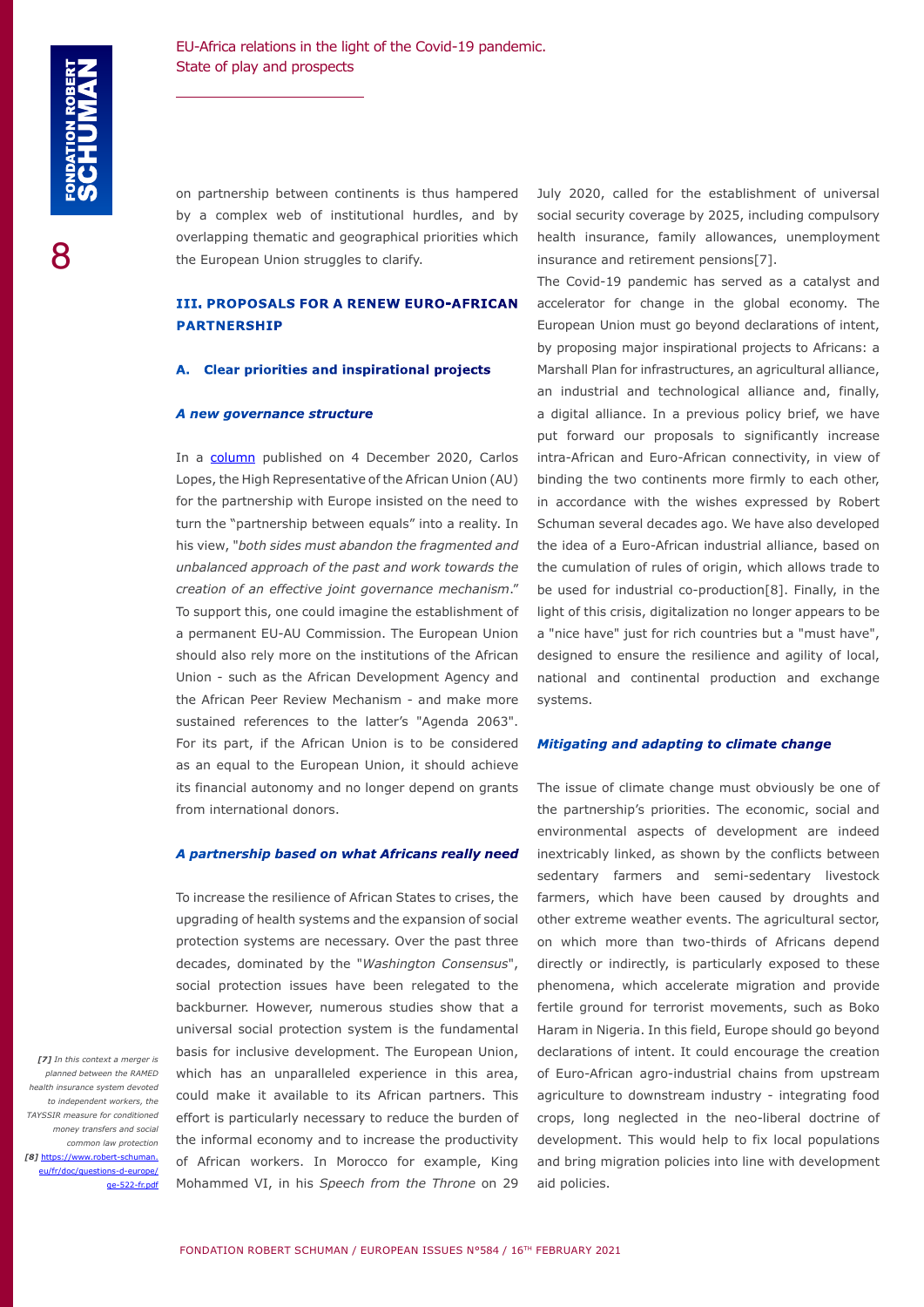on partnership between continents is thus hampered by a complex web of institutional hurdles, and by overlapping thematic and geographical priorities which the European Union struggles to clarify.

# **III. PROPOSALS FOR A RENEW EURO-AFRICAN PARTNERSHIP**

#### **A. Clear priorities and inspirational projects**

#### *A new governance structure*

In a [column](https://www.project-syndicate.org/commentary/eu-africa-summit-partnership-of-equals-by-carlos-lopes-4-2020-12?barrier=accesspaylog) published on 4 December 2020, Carlos Lopes, the High Representative of the African Union (AU) for the partnership with Europe insisted on the need to turn the "partnership between equals" into a reality. In his view, "*both sides must abandon the fragmented and unbalanced approach of the past and work towards the creation of an effective joint governance mechanism*." To support this, one could imagine the establishment of a permanent EU-AU Commission. The European Union should also rely more on the institutions of the African Union - such as the African Development Agency and the African Peer Review Mechanism - and make more sustained references to the latter's "Agenda 2063". For its part, if the African Union is to be considered as an equal to the European Union, it should achieve its financial autonomy and no longer depend on grants from international donors.

#### *A partnership based on what Africans really need*

To increase the resilience of African States to crises, the upgrading of health systems and the expansion of social protection systems are necessary. Over the past three decades, dominated by the "*Washington Consensus*", social protection issues have been relegated to the backburner. However, numerous studies show that a universal social protection system is the fundamental basis for inclusive development. The European Union, which has an unparalleled experience in this area, could make it available to its African partners. This effort is particularly necessary to reduce the burden of the informal economy and to increase the productivity of African workers. In Morocco for example, King Mohammed VI, in his *Speech from the Throne* on 29 July 2020, called for the establishment of universal social security coverage by 2025, including compulsory health insurance, family allowances, unemployment insurance and retirement pensions[7].

The Covid-19 pandemic has served as a catalyst and accelerator for change in the global economy. The European Union must go beyond declarations of intent, by proposing major inspirational projects to Africans: a Marshall Plan for infrastructures, an agricultural alliance, an industrial and technological alliance and, finally, a digital alliance. In a previous policy brief, we have put forward our proposals to significantly increase intra-African and Euro-African connectivity, in view of binding the two continents more firmly to each other, in accordance with the wishes expressed by Robert Schuman several decades ago. We have also developed the idea of a Euro-African industrial alliance, based on the cumulation of rules of origin, which allows trade to be used for industrial co-production[8]. Finally, in the light of this crisis, digitalization no longer appears to be a "nice have" just for rich countries but a "must have", designed to ensure the resilience and agility of local, national and continental production and exchange systems.

#### *Mitigating and adapting to climate change*

The issue of climate change must obviously be one of the partnership's priorities. The economic, social and environmental aspects of development are indeed inextricably linked, as shown by the conflicts between sedentary farmers and semi-sedentary livestock farmers, which have been caused by droughts and other extreme weather events. The agricultural sector, on which more than two-thirds of Africans depend directly or indirectly, is particularly exposed to these phenomena, which accelerate migration and provide fertile ground for terrorist movements, such as Boko Haram in Nigeria. In this field, Europe should go beyond declarations of intent. It could encourage the creation of Euro-African agro-industrial chains from upstream agriculture to downstream industry - integrating food crops, long neglected in the neo-liberal doctrine of development. This would help to fix local populations and bring migration policies into line with development aid policies.

*[7] In this context a merger is planned between the RAMED health insurance system devoted to independent workers, the TAYSSIR measure for conditioned money transfers and social common law protection [8]* [https://www.robert-schuman.](https://www.robert-schuman.eu/fr/doc/questions-d-europe/qe-522-fr.pdf) [eu/fr/doc/questions-d-europe/](https://www.robert-schuman.eu/fr/doc/questions-d-europe/qe-522-fr.pdf) [qe-522-fr.pdf](https://www.robert-schuman.eu/fr/doc/questions-d-europe/qe-522-fr.pdf)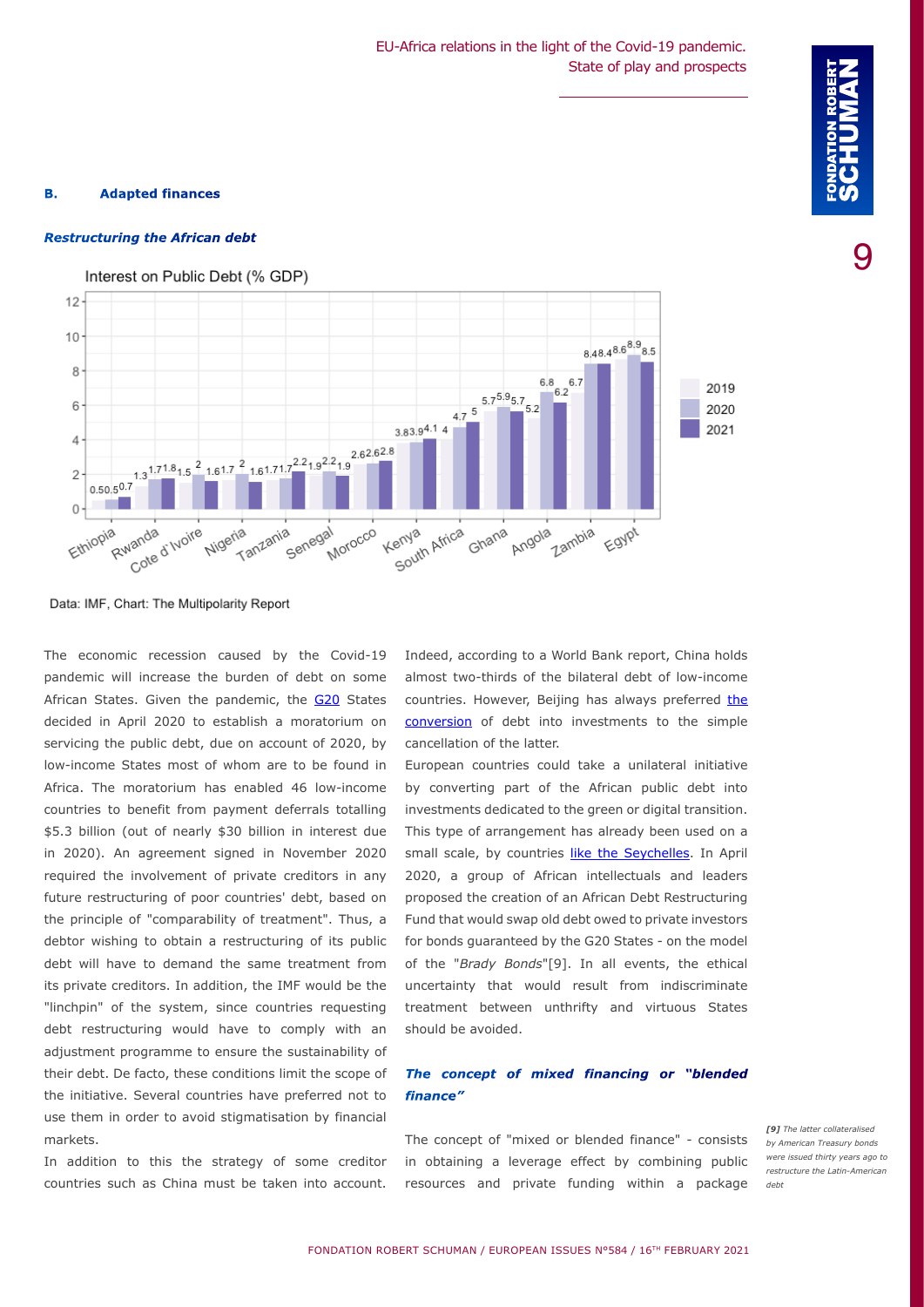FONDATION ROBERT SCHUMAN / EUROPEAN ISSUES N°584 / 16TH FEBRUARY 2021

## **B. Adapted finances**

### *Restructuring the African debt*



pandemic will increase the burden of debt on some African States. Given the pandemic, the [G20](https://www.banque-france.fr/sites/default/files/media/2020/07/20/final_g20_fmcbg_communique_-_july_2020.pdf) States decided in April 2020 to establish a moratorium on servicing the public debt, due on account of 2020, by low-income States most of whom are to be found in Africa. The moratorium has enabled 46 low-income countries to benefit from payment deferrals totalling \$5.3 billion (out of nearly \$30 billion in interest due in 2020). An agreement signed in November 2020 required the involvement of private creditors in any future restructuring of poor countries' debt, based on the principle of "comparability of treatment". Thus, a debtor wishing to obtain a restructuring of its public debt will have to demand the same treatment from its private creditors. In addition, the IMF would be the "linchpin" of the system, since countries requesting debt restructuring would have to comply with an adjustment programme to ensure the sustainability of their debt. De facto, these conditions limit the scope of the initiative. Several countries have preferred not to use them in order to avoid stigmatisation by financial markets.

In addition to this the strategy of some creditor countries such as China must be taken into account.

Indeed, according to a World Bank report, China holds almost two-thirds of the bilateral debt of low-income countries. However, Beijing has always preferred the [conversion](https://www.brookings.edu/blog/africa-in-focus/2020/04/20/china-and-africas-debt-yes-to-relief-no-to-blanket-forgiveness/) of debt into investments to the simple cancellation of the latter.

European countries could take a unilateral initiative by converting part of the African public debt into investments dedicated to the green or digital transition. This type of arrangement has already been used on a small scale, by countries [like the Seychelles](https://www.weforum.org/agenda/2020/10/debt-climate-swaps-spur-green-recovery/). In April 2020, a group of African intellectuals and leaders proposed the creation of an African Debt Restructuring Fund that would swap old debt owed to private investors for bonds guaranteed by the G20 States - on the model of the "*Brady Bonds*"[9]. In all events, the ethical uncertainty that would result from indiscriminate treatment between unthrifty and virtuous States should be avoided.

# *The concept of mixed financing or "blended finance"*

The concept of "mixed or blended finance" - consists in obtaining a leverage effect by combining public resources and private funding within a package

*[9] The latter collateralised by American Treasury bonds were issued thirty years ago to restructure the Latin-American debt*



9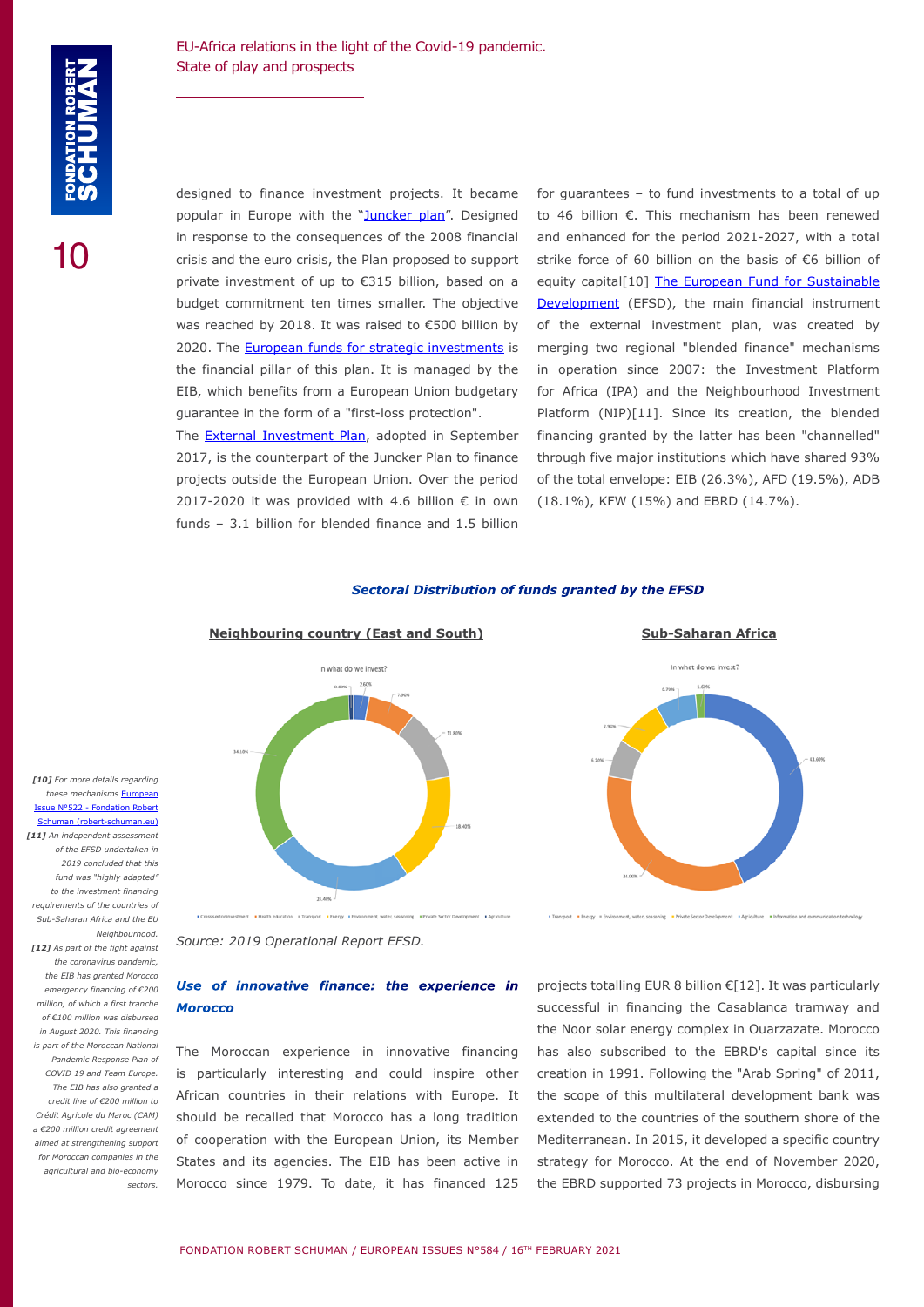designed to finance investment projects. It became popular in Europe with the "[Juncker plan"](https://ec.europa.eu/commission/presscorner/detail/en/ip_19_6119). Designed in response to the consequences of the 2008 financial crisis and the euro crisis, the Plan proposed to support private investment of up to €315 billion, based on a budget commitment ten times smaller. The objective was reached by 2018. It was raised to €500 billion by 2020. The [European funds for strategic investments](https://www.consilium.europa.eu/en/policies/investment-plan/strategic-investments-fund/) is the financial pillar of this plan. It is managed by the EIB, which benefits from a European Union budgetary guarantee in the form of a "first-loss protection".

The [External Investment Plan,](https://ec.europa.eu/eu-external-investment-plan/home_en) adopted in September 2017, is the counterpart of the Juncker Plan to finance projects outside the European Union. Over the period 2017-2020 it was provided with 4.6 billion  $\epsilon$  in own funds – 3.1 billion for blended finance and 1.5 billion

for guarantees – to fund investments to a total of up to 46 billion €. This mechanism has been renewed and enhanced for the period 2021-2027, with a total strike force of 60 billion on the basis of €6 billion of equity capital<sup>[10]</sup> The European Fund for Sustainable [Development](https://ec.europa.eu/transparency/regdoc/rep/1/2020/EN/COM-2020-224-F1-EN-MAIN-PART-1.PDF) (EFSD), the main financial instrument of the external investment plan, was created by merging two regional "blended finance" mechanisms in operation since 2007: the Investment Platform for Africa (IPA) and the Neighbourhood Investment Platform (NIP)[11]. Since its creation, the blended financing granted by the latter has been "channelled" through five major institutions which have shared 93% of the total envelope: EIB (26.3%), AFD (19.5%), ADB (18.1%), KFW (15%) and EBRD (14.7%).

#### *Sectoral Distribution of funds granted by the EFSD*

# **Neighbouring country (East and South)** In what do we invest?



#### **Sub-Saharan Africa**



*Source: 2019 Operational Report EFSD.*

# *Use of innovative finance: the experience in Morocco*

The Moroccan experience in innovative financing is particularly interesting and could inspire other African countries in their relations with Europe. It should be recalled that Morocco has a long tradition of cooperation with the European Union, its Member States and its agencies. The EIB has been active in Morocco since 1979. To date, it has financed 125 projects totalling EUR 8 billion €[12]. It was particularly successful in financing the Casablanca tramway and the Noor solar energy complex in Ouarzazate. Morocco has also subscribed to the EBRD's capital since its creation in 1991. Following the "Arab Spring" of 2011, the scope of this multilateral development bank was extended to the countries of the southern shore of the Mediterranean. In 2015, it developed a specific country strategy for Morocco. At the end of November 2020, the EBRD supported 73 projects in Morocco, disbursing

*[10] For more details regarding these mechanisms* [European](https://www.robert-schuman.eu/en/doc/questions-d-europe/qe-522-en.pdf) [Issue N°522 - Fondation Robert](https://www.robert-schuman.eu/en/doc/questions-d-europe/qe-522-en.pdf) [Schuman \(robert-schuman.eu\)](https://www.robert-schuman.eu/en/doc/questions-d-europe/qe-522-en.pdf) *[11] An independent assessment of the EFSD undertaken in 2019 concluded that this fund was "highly adapted" to the investment financing requirements of the countries of Sub-Saharan Africa and the EU Neighbourhood. [12] As part of the fight against the coronavirus pandemic, the EIB has granted Morocco emergency financing of €200 million, of which a first tranche of €100 million was disbursed in August 2020. This financing is part of the Moroccan National Pandemic Response Plan of COVID 19 and Team Europe. The EIB has also granted a credit line of €200 million to Crédit Agricole du Maroc (CAM) a €200 million credit agreement aimed at strengthening support for Moroccan companies in the agricultural and bio-economy sectors.*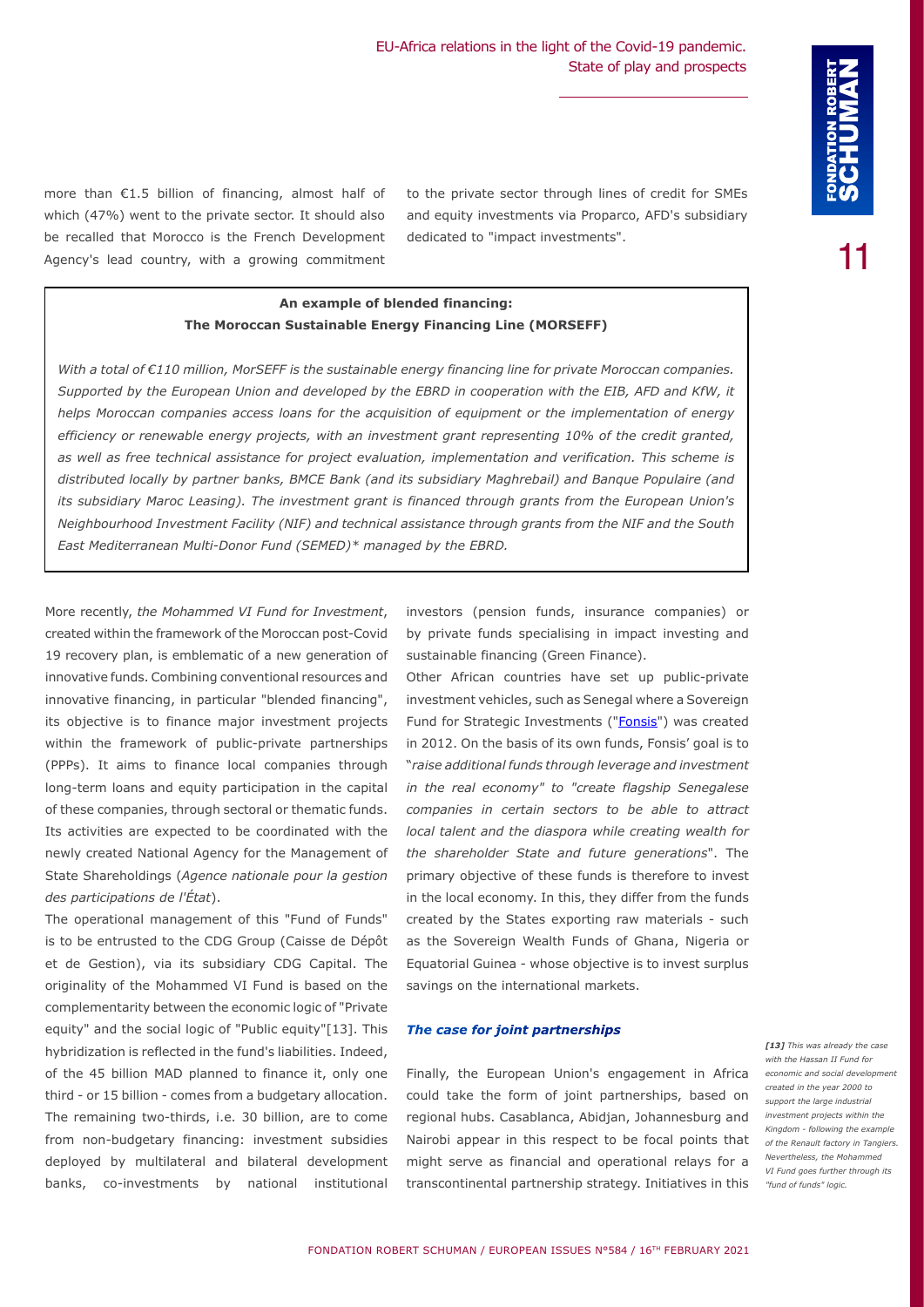more than €1.5 billion of financing, almost half of which (47%) went to the private sector. It should also be recalled that Morocco is the French Development Agency's lead country, with a growing commitment

to the private sector through lines of credit for SMEs and equity investments via Proparco, AFD's subsidiary dedicated to "impact investments".

# **An example of blended financing: The Moroccan Sustainable Energy Financing Line (MORSEFF)**

*With a total of €110 million, MorSEFF is the sustainable energy financing line for private Moroccan companies. Supported by the European Union and developed by the EBRD in cooperation with the EIB, AFD and KfW, it helps Moroccan companies access loans for the acquisition of equipment or the implementation of energy efficiency or renewable energy projects, with an investment grant representing 10% of the credit granted, as well as free technical assistance for project evaluation, implementation and verification. This scheme is distributed locally by partner banks, BMCE Bank (and its subsidiary Maghrebail) and Banque Populaire (and its subsidiary Maroc Leasing*). The investment grant is financed through grants from the European Union's *Neighbourhood Investment Facility (NIF) and technical assistance through grants from the NIF and the South East Mediterranean Multi-Donor Fund (SEMED)\* managed by the EBRD.*

More recently, *the Mohammed VI Fund for Investment*, created within the framework of the Moroccan post-Covid 19 recovery plan, is emblematic of a new generation of innovative funds. Combining conventional resources and innovative financing, in particular "blended financing", its objective is to finance major investment projects within the framework of public-private partnerships (PPPs). It aims to finance local companies through long-term loans and equity participation in the capital of these companies, through sectoral or thematic funds. Its activities are expected to be coordinated with the newly created National Agency for the Management of State Shareholdings (*Agence nationale pour la gestion des participations de l'État*).

The operational management of this "Fund of Funds" is to be entrusted to the CDG Group (Caisse de Dépôt et de Gestion), via its subsidiary CDG Capital. The originality of the Mohammed VI Fund is based on the complementarity between the economic logic of "Private equity" and the social logic of "Public equity"[13]. This hybridization is reflected in the fund's liabilities. Indeed, of the 45 billion MAD planned to finance it, only one third - or 15 billion - comes from a budgetary allocation. The remaining two-thirds, i.e. 30 billion, are to come from non-budgetary financing: investment subsidies deployed by multilateral and bilateral development banks, co-investments by national institutional

investors (pension funds, insurance companies) or by private funds specialising in impact investing and sustainable financing (Green Finance).

Other African countries have set up public-private investment vehicles, such as Senegal where a Sovereign Fund for Strategic Investments ("[Fonsis](https://www.fonsis.org/en)") was created in 2012. On the basis of its own funds, Fonsis' goal is to "*raise additional funds through leverage and investment in the real economy" to "create flagship Senegalese companies in certain sectors to be able to attract local talent and the diaspora while creating wealth for the shareholder State and future generations*". The primary objective of these funds is therefore to invest in the local economy. In this, they differ from the funds created by the States exporting raw materials - such as the Sovereign Wealth Funds of Ghana, Nigeria or Equatorial Guinea - whose objective is to invest surplus savings on the international markets.

#### *The case for joint partnerships*

Finally, the European Union's engagement in Africa could take the form of joint partnerships, based on regional hubs. Casablanca, Abidjan, Johannesburg and Nairobi appear in this respect to be focal points that might serve as financial and operational relays for a transcontinental partnership strategy. Initiatives in this

*[13] This was already the case with the Hassan II Fund for economic and social development created in the year 2000 to support the large industrial investment projects within the Kingdom - following the example of the Renault factory in Tangiers. Nevertheless, the Mohammed VI Fund goes further through its "fund of funds" logic.*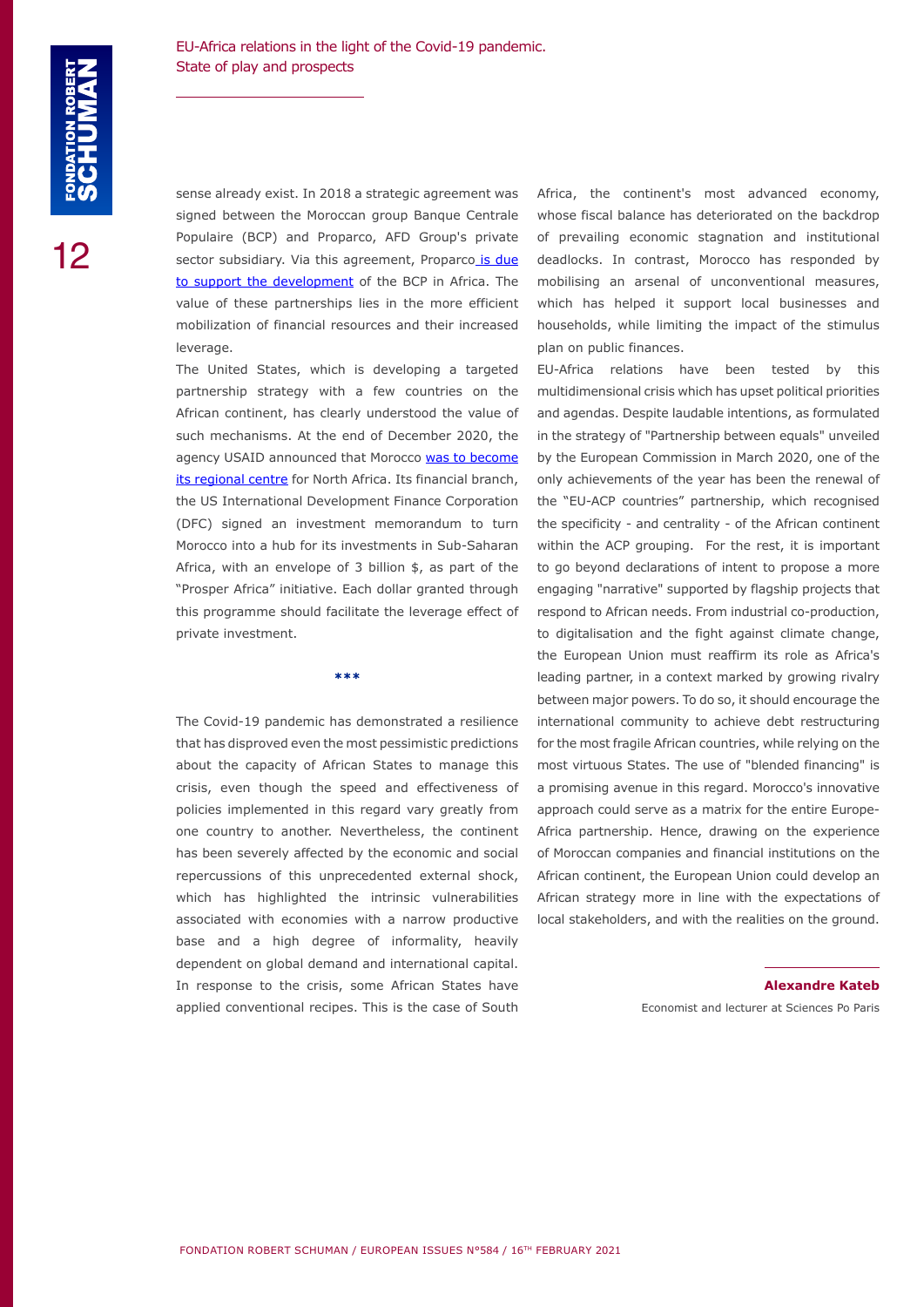sense already exist. In 2018 a strategic agreement was signed between the Moroccan group Banque Centrale Populaire (BCP) and Proparco, AFD Group's private sector subsidiary. Via this agreement, Proparc[o is due](https://www.proparco.fr/fr/actualites/proparco-signe-deux-nouveaux-projets-pour-soutenir-le-secteur-prive-marocain) [to support the development](https://www.proparco.fr/fr/actualites/proparco-signe-deux-nouveaux-projets-pour-soutenir-le-secteur-prive-marocain) of the BCP in Africa. The value of these partnerships lies in the more efficient mobilization of financial resources and their increased leverage.

The United States, which is developing a targeted partnership strategy with a few countries on the African continent, has clearly understood the value of such mechanisms. At the end of December 2020, the agency USAID announced that Morocco [was to become](https://www.dfc.gov/media/press-releases/dfc-announces-initiatives-expand-us-investment-and-development-morocco) [its regional centre](https://www.dfc.gov/media/press-releases/dfc-announces-initiatives-expand-us-investment-and-development-morocco) for North Africa. Its financial branch, the US International Development Finance Corporation (DFC) signed an investment memorandum to turn Morocco into a hub for its investments in Sub-Saharan Africa, with an envelope of 3 billion  $$$ , as part of the "Prosper Africa" initiative. Each dollar granted through this programme should facilitate the leverage effect of private investment.

**\*\*\***

The Covid-19 pandemic has demonstrated a resilience that has disproved even the most pessimistic predictions about the capacity of African States to manage this crisis, even though the speed and effectiveness of policies implemented in this regard vary greatly from one country to another. Nevertheless, the continent has been severely affected by the economic and social repercussions of this unprecedented external shock, which has highlighted the intrinsic vulnerabilities associated with economies with a narrow productive base and a high degree of informality, heavily dependent on global demand and international capital. In response to the crisis, some African States have applied conventional recipes. This is the case of South

Africa, the continent's most advanced economy, whose fiscal balance has deteriorated on the backdrop of prevailing economic stagnation and institutional deadlocks. In contrast, Morocco has responded by mobilising an arsenal of unconventional measures, which has helped it support local businesses and households, while limiting the impact of the stimulus plan on public finances.

EU-Africa relations have been tested by this multidimensional crisis which has upset political priorities and agendas. Despite laudable intentions, as formulated in the strategy of "Partnership between equals" unveiled by the European Commission in March 2020, one of the only achievements of the year has been the renewal of the "EU-ACP countries" partnership, which recognised the specificity - and centrality - of the African continent within the ACP grouping. For the rest, it is important to go beyond declarations of intent to propose a more engaging "narrative" supported by flagship projects that respond to African needs. From industrial co-production, to digitalisation and the fight against climate change, the European Union must reaffirm its role as Africa's leading partner, in a context marked by growing rivalry between major powers. To do so, it should encourage the international community to achieve debt restructuring for the most fragile African countries, while relying on the most virtuous States. The use of "blended financing" is a promising avenue in this regard. Morocco's innovative approach could serve as a matrix for the entire Europe-Africa partnership. Hence, drawing on the experience of Moroccan companies and financial institutions on the African continent, the European Union could develop an African strategy more in line with the expectations of local stakeholders, and with the realities on the ground.

Economist and lecturer at Sciences Po Paris

**Alexandre Kateb**